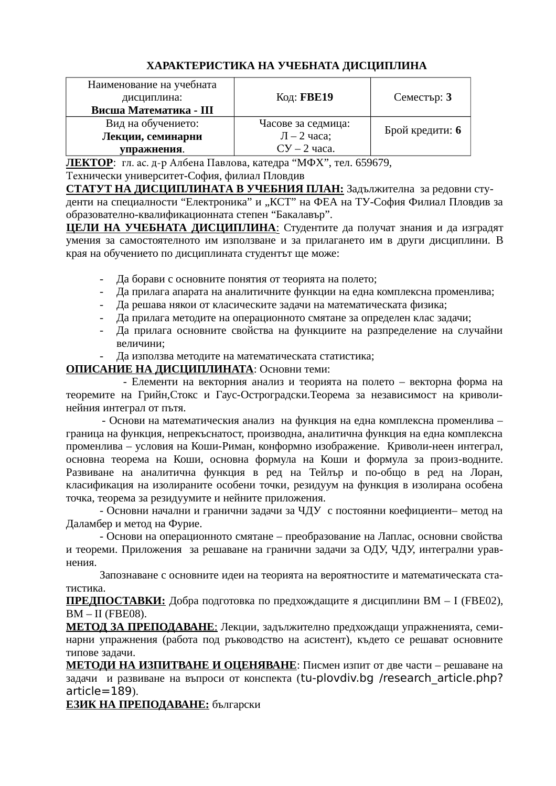# **ХАРАКТЕРИСТИКА НА УЧЕБНАТА ДИСЦИПЛИНА**

| Наименование на учебната |                          |                 |
|--------------------------|--------------------------|-----------------|
| дисциплина:              | Код: <b>FBE19</b>        | Семестър: 3     |
| Висша Математика - III   |                          |                 |
| Вид на обучението:       | Часове за седмица:       |                 |
| Лекции, семинарни        | $\overline{J}$ – 2 часа; | Брой кредити: 6 |
| упражнения.              | $CY - 2$ yaca.           |                 |

**ЛЕКТОР**: гл. ас. д-р Албена Павлова, катедра "МФХ", тел. 659679,

Технически университет-София, филиал Пловдив

**СТАТУТ НА ДИСЦИПЛИНАТА В УЧЕБНИЯ ПЛАН:** Задължителна за редовни студенти на специалности "Електроника" и "КСТ" на ФЕА на ТУ-София Филиал Пловдив за образователно-квалификационната степен "Бакалавър".

**ЦЕЛИ НА УЧЕБНАТА ДИСЦИПЛИНА**: Студентите да получат знания и да изградят умения за самостоятелното им използване и за прилагането им в други дисциплини. В края на обучението по дисциплината студентът ще може:

- Да борави с основните понятия от теорията на полето;
- Да прилага апарата на аналитичните функции на една комплексна променлива;
- Да решава някои от класическите задачи на математическата физика;
- Да прилага методите на операционното смятане за определен клас задачи;
- Да прилага основните свойства на функциите на разпределение на случайни величини;
- Да използва методите на математическата статистика;

## **ОПИСАНИЕ НА ДИСЦИПЛИНАТА**: Основни теми:

- Елементи на векторния анализ и теорията на полето – векторна форма на теоремите на Грийн,Стокс и Гаус-Остроградски.Теорема за независимост на криволинейния интеграл от пътя.

- Основи на математическия анализ на функция на една комплексна променлива – граница на функция, непрекъснатост, производна, аналитична функция на една комплексна променлива – условия на Коши-Риман, конформно изображение. Криволи-неен интеграл, основна теорема на Коши, основна формула на Коши и формула за произ-водните. Развиване на аналитична функция в ред на Тейлър и по-общо в ред на Лоран, класификация на изолираните особени точки, резидуум на функция в изолирана особена точка, теорема за резидуумите и нейните приложения.

- Основни начални и гранични задачи за ЧДУ с постоянни коефициенти– метод на Даламбер и метод на Фурие.

- Основи на операционното смятане – преобразование на Лаплас, основни свойства и теореми. Приложения за решаване на гранични задачи за ОДУ, ЧДУ, интегрални уравнения.

Запознаване с основните идеи на теорията на вероятностите и математическата статистика.

**ПРЕДПОСТАВКИ:** Добра подготовка по предхождащите я дисциплини ВМ – I (FBE02), ВМ – II (FBE08).

**МЕТОД ЗА ПРЕПОДАВАНЕ**: Лекции, задължително предхождащи упражненията, семинарни упражнения (работа под ръководство на асистент), където се решават основните типове задачи.

**МЕТОДИ НА ИЗПИТВАНЕ И ОЦЕНЯВАНЕ**: Писмен изпит от две части – решаване на задачи и развиване на въпроси от конспекта (tu-plovdiv.bg /research article.php? article=189).

**ЕЗИК НА ПРЕПОДАВАНЕ:** български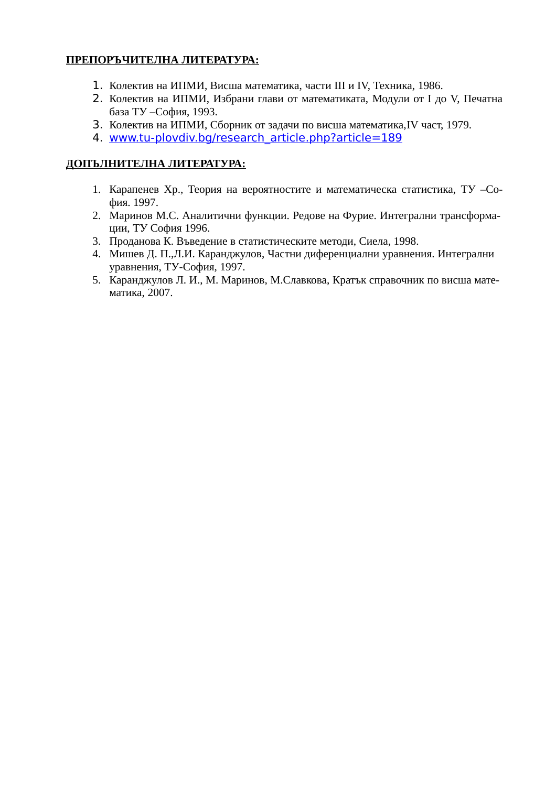# **ПРЕПОРЪЧИТЕЛНА ЛИТЕРАТУРА:**

- 1. Колектив на ИПМИ, Висша математика, части III и IV, Техника, 1986.
- 2. Колектив на ИПМИ, Избрани глави от математиката, Модули от I до V, Печатна база ТУ –София, 1993.
- 3. Колектив на ИПМИ, Сборник от задачи по висша математика,IV част, 1979.
- 4. www.tu-plovdiv.bg/research article. php?article=189

## **ДОПЪЛНИТЕЛНА ЛИТЕРАТУРА:**

- 1. Карапенев Хр., Теория на вероятностите и математическа статистика, ТУ –София. 1997.
- 2. Маринов М.С. Аналитични функции. Редове на Фурие. Интегрални трансформации, ТУ София 1996.
- 3. Проданова К. Въведение в статистическите методи, Сиела, 1998.
- 4. Мишев Д. П.,Л.И. Каранджулов, Частни диференциални уравнения. Интегрални уравнения, ТУ-София, 1997.
- 5. Каранджулов Л. И., М. Маринов, М.Славкова, Кратък справочник по висша математика, 2007.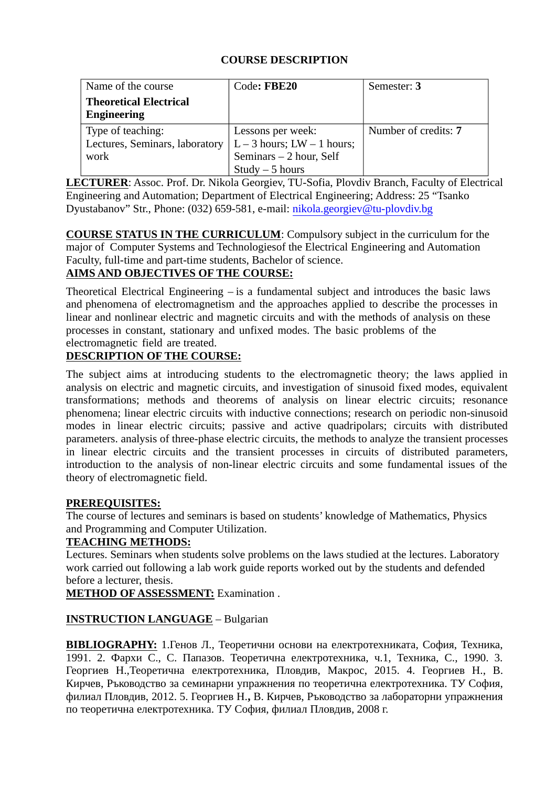| Name of the course             | Code: FBE20                | Semester: 3          |
|--------------------------------|----------------------------|----------------------|
| <b>Theoretical Electrical</b>  |                            |                      |
| <b>Engineering</b>             |                            |                      |
| Type of teaching:              | Lessons per week:          | Number of credits: 7 |
| Lectures, Seminars, laboratory | $L-3$ hours; $LW-1$ hours; |                      |
| work                           | Seminars - 2 hour, Self    |                      |
|                                | $Study - 5 hours$          |                      |

**LECTURER**: Assoc. Prof. Dr. Nikola Georgiev, TU-Sofia, Plovdiv Branch, Faculty of Electrical Engineering and Automation; Department of Electrical Engineering; Address: 25 "Tsanko Dyustabanov" Str., Phone: (032) 659-581, e-mail: [nikola.georgiev@tu-plovdiv.bg](mailto:nikola.georgiev@tu-plovdiv.bg)

**COURSE STATUS IN THE CURRICULUM**: Compulsory subject in the curriculum for the major of [Computer Systems and Technologiesof](http://www.tu-plovdiv.bg/en/department.php?department=16) the Electrical Engineering and Automation Faculty, full-time and part-time students, Bachelor of science. **AIMS AND OBJECTIVES OF THE COURSE:**

Theoretical Electrical Engineering – is a fundamental subject and introduces the basic laws and phenomena of electromagnetism and the approaches applied to describe the processes in linear and nonlinear electric and magnetic circuits and with the methods of analysis on these processes in constant, stationary and unfixed modes. The basic problems of the electromagnetic field are treated.

## **DESCRIPTION OF THE COURSE:**

The subject aims at introducing students to the electromagnetic theory; the laws applied in analysis on electric and magnetic circuits, and investigation of sinusoid fixed modes, equivalent transformations; methods and theorems of analysis on linear electric circuits; resonance phenomena; linear electric circuits with inductive connections; research on periodic non-sinusoid modes in linear electric circuits; passive and active quadripolars; circuits with distributed parameters. analysis of three-phase electric circuits, the methods to analyze the transient processes in linear electric circuits and the transient processes in circuits of distributed parameters, introduction to the analysis of non-linear electric circuits and some fundamental issues of the theory of electromagnetic field.

## **PREREQUISITES:**

The course of lectures and seminars is based on students' knowledge of Mathematics, Physics and Programming and Computer Utilization.

## **TEACHING METHODS:**

Lectures. Seminars when students solve problems on the laws studied at the lectures. Laboratory work carried out following a lab work guide reports worked out by the students and defended before a lecturer, thesis.

**METHOD OF ASSESSMENT:** Examination .

## **INSTRUCTION LANGUAGE** – Bulgarian

**BIBLIOGRAPHY:** 1.Генов Л., Теоретични основи на електротехниката, София, Техника, 1991. 2. Фархи С., С. Папазов. Теоретична електротехника, ч.1, Техника, С., 1990. 3. Георгиев Н.,Теоретична електротехника, Пловдив, Макрос, 2015. 4. Георгиев Н., В. Кирчев, Ръководство за семинарни упражнения по теоретична електротехника. ТУ София, филиал Пловдив, 2012. 5. Георгиев Н.**,** В. Кирчев, Ръководство за лабораторни упражнения по теоретична електротехника. ТУ София, филиал Пловдив, 2008 г.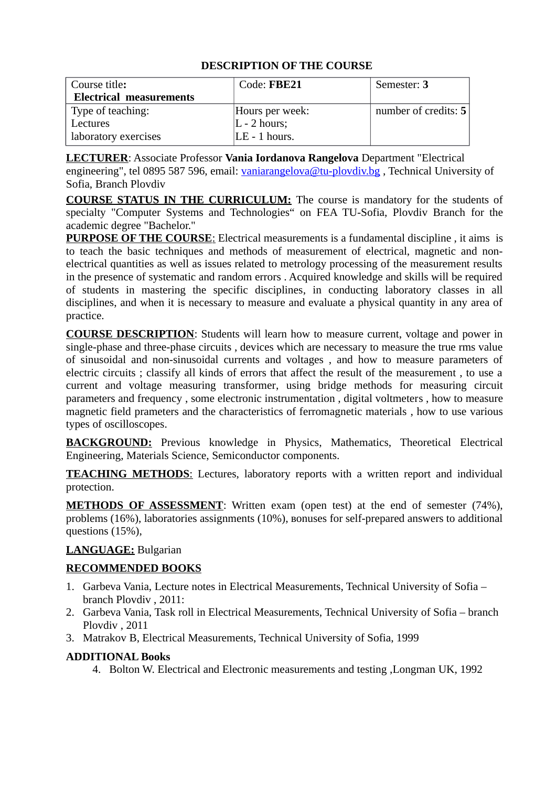| Course title:                  | Code: FBE21     | Semester: 3            |
|--------------------------------|-----------------|------------------------|
| <b>Electrical measurements</b> |                 |                        |
| Type of teaching:              | Hours per week: | number of credits: $5$ |
| Lectures                       | $L - 2$ hours;  |                        |
| laboratory exercises           | $LE - 1$ hours. |                        |

**LECTURER**: Associate Professor **Vania Iordanova Rangelova** Department "Electrical engineering", tel 0895 587 596, email: [vaniarangelova@tu-plovdiv.bg](mailto:vaniarangelova@tu-plovdiv.bg), Technical University of Sofia, Branch Plovdiv

**COURSE STATUS IN THE CURRICULUM:** The course is mandatory for the students of specialty "Computer Systems and Technologies" on FEA TU-Sofia, Plovdiv Branch for the academic degree "Bachelor."

**PURPOSE OF THE COURSE:** Electrical measurements is a fundamental discipline, it aims is to teach the basic techniques and methods of measurement of electrical, magnetic and nonelectrical quantities as well as issues related to metrology processing of the measurement results in the presence of systematic and random errors . Acquired knowledge and skills will be required of students in mastering the specific disciplines, in conducting laboratory classes in all disciplines, and when it is necessary to measure and evaluate a physical quantity in any area of practice.

**COURSE DESCRIPTION**: Students will learn how to measure current, voltage and power in single-phase and three-phase circuits , devices which are necessary to measure the true rms value of sinusoidal and non-sinusoidal currents and voltages , and how to measure parameters of electric circuits ; classify all kinds of errors that affect the result of the measurement , to use a current and voltage measuring transformer, using bridge methods for measuring circuit parameters and frequency , some electronic instrumentation , digital voltmeters , how to measure magnetic field prameters and the characteristics of ferromagnetic materials , how to use various types of oscilloscopes.

**BACKGROUND:** Previous knowledge in Physics, Mathematics, Theoretical Electrical Engineering, Materials Science, Semiconductor components.

**TEACHING METHODS:** Lectures, laboratory reports with a written report and individual protection.

**METHODS OF ASSESSMENT:** Written exam (open test) at the end of semester (74%), problems (16%), laboratories assignments (10%), вonuses for self-prepared answers to additional questions (15%),

# **LANGUAGE:** Bulgarian

## **RECOMMENDED BOOKS**

- 1. Garbeva Vania, Lecture notes in Electrical Measurements, Technical University of Sofia branch Plovdiv , 2011:
- 2. Garbeva Vania, Task roll in Electrical Measurements, Technical University of Sofia branch Plovdiv , 2011
- 3. Matrakov B, Electrical Measurements, Technical University of Sofia, 1999

## **ADDITIONAL Books**

4. Bolton W. Electrical and Electronic measurements and testing ,Longman UK, 1992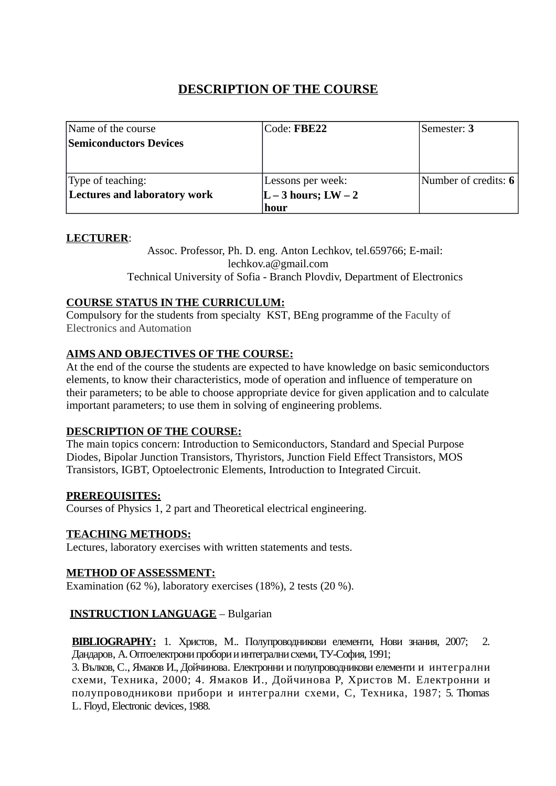| Name of the course                  | Code: FBE22          | Semester: 3          |
|-------------------------------------|----------------------|----------------------|
| <b>Semiconductors Devices</b>       |                      |                      |
|                                     |                      |                      |
|                                     |                      |                      |
| Type of teaching:                   | Lessons per week:    | Number of credits: 6 |
| <b>Lectures and laboratory work</b> | $ L-3$ hours; $LW-2$ |                      |
|                                     | hour                 |                      |

## **LECTURER**:

Assoc. Professor, Ph. D. eng. Anton Lechkov, tel.659766; E-mail: lechkov.a@gmail.com Technical University of Sofia - Branch Plovdiv, Department of Electronics

#### **COURSE STATUS IN THE CURRICULUM:**

Compulsory for the students from specialty KST, BEng programme of the Faculty of Electronics and Automation

## **AIMS AND OBJECTIVES OF THE COURSE:**

At the end of the course the students are expected to have knowledge on basic semiconductors elements, to know their characteristics, mode of operation and influence of temperature on their parameters; to be able to choose appropriate device for given application and to calculate important parameters; to use them in solving of engineering problems.

#### **DESCRIPTION OF THE COURSE:**

The main topics concern: Introduction to Semiconductors, Standard and Special Purpose Diodes, Bipolar Junction Transistors, Thyristors, Junction Field Effect Transistors, MOS Transistors, IGBT, Optoelectronic Elements, Introduction to Integrated Circuit.

#### **PREREQUISITES:**

Courses of Physics 1, 2 part and Theoretical electrical engineering.

#### **TEACHING METHODS:**

Lectures, laboratory exercises with written statements and tests.

#### **METHOD OF ASSESSMENT:**

Examination (62 %), laboratory exercises (18%), 2 tests (20 %).

## **INSTRUCTION LANGUAGE** – Bulgarian

 **BIBLIOGRAPHY:** 1. Христов, М.. Полупроводникови елементи, Нови знания, 2007; 2. Дандаров, А. Оптоелектрони пробори и интегрални схеми, ТУ-София, 1991;

3. Вълков, С., Ямаков И., Дойчинова. Електронни и полупроводникови елементи и интегрални схеми, Техника, 2000; 4. Ямаков И., Дойчинова Р, Христов М. Електронни и полупроводникови прибори и интегрални схеми, С, Техника, 1987; 5. Thomas L. Floyd, Electronic devices, 1988.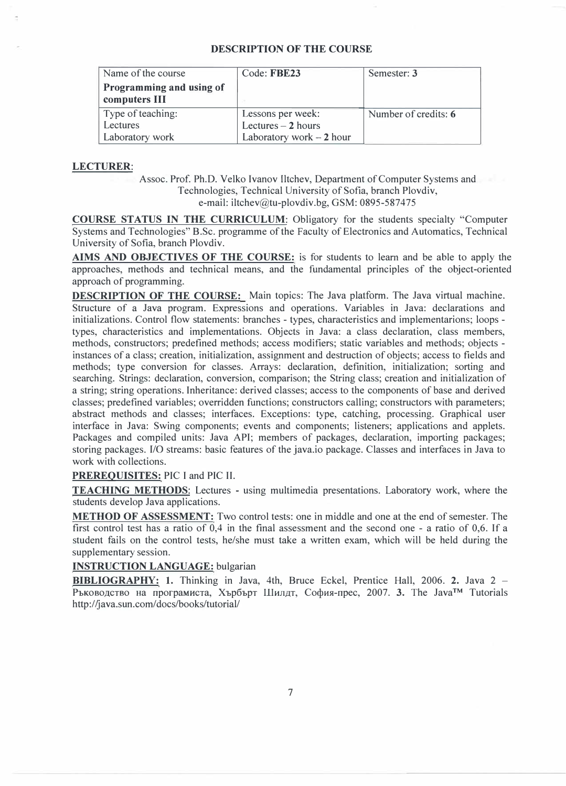| Name of the course                        | Code: FBE23               | Semester: 3          |
|-------------------------------------------|---------------------------|----------------------|
| Programming and using of<br>computers III |                           |                      |
| Type of teaching:                         | Lessons per week:         | Number of credits: 6 |
| <b>Lectures</b>                           | Lectures $-2$ hours       |                      |
| Laboratory work                           | Laboratory work $-2$ hour |                      |

#### **LECTURER:**

Assoc. Prof. Ph.D. Velko Ivanov Iltchev, Department of Computer Systems and Technologies, Technical University of Sofia, branch Plovdiv, e-mail: iltchev@tu-plovdiv.bg, GSM: 0895-587475

**COURSE STATUS IN THE CURRICULUM:** Obligatory for the students specialty "Computer Systems and Technologies" B.Sc. programme of the Faculty of Electronics and Automatics, Technical University of Sofia, branch Plovdiv.

**AIMS AND OBJECTIVES OF THE COURSE:** is for students to learn and be able to apply the approaches, methods and technical means, and the fundamental principles of the object-oriented approach of programming.

**DESCRIPTION OF THE COURSE:** Main topics: The Java platform. The Java virtual machine. Structure of a Java program. Expressions and operations. Variables in Java: declarations and initializations. Control flow statements: branches - types, characteristics and implementarions; loops types, characteristics and implementations. Objects in Java: a class declaration, class members, methods, constructors; predefined methods; access modifiers; static variables and methods; objects instances of a class; creation, initialization, assignment and destruction of objects; access to fields and methods; type conversion for classes. Arrays: declaration, definition, initialization; sorting and searching. Strings: declaration, conversion, comparison; the String class; creation and initialization of a string; string operations. Inheritance: derived classes; access to the components of base and derived classes; predefined variables; overridden functions; constructors calling; constructors with parameters; abstract methods and classes; interfaces. Exceptions: type, catching, processing. Graphical user interface in Java: Swing components; events and components; listeners; applications and applets. Packages and compiled units: Java API; members of packages, declaration, importing packages; storing packages. 1/0 streams: basic features of the java.io package. Classes and interfaces in Java to work with collections.

#### **PREREQUISITES:** PIC I and PIC II.

**TEACHING METHODS:** Lectures - using multimedia presentations. Laboratory work, where the students develop Java applications.

**METHOD OF ASSESSMENT:** Two control tests: one in middle and one at the end of semester. The first control test has a ratio of 0,4 in the final assessment and the second one - a ratio of 0,6. If a student fails on the control tests, he/she must take a written exam, which will be held during the supplementary session.

#### **INSTRUCTION LANGUAGE:** bulgarian

**BIBLIOGRAPHY:** 1. Thinking in Java, 4th, Bruce Eckel, Prentice Hall, 2006. **2.** Java 2 - Ръководство на програмиста, Хърбърт Шилдт, София-прес, 2007. 3. The Java™ Tutorials http://java.sun.com/ docs/books/tutorial/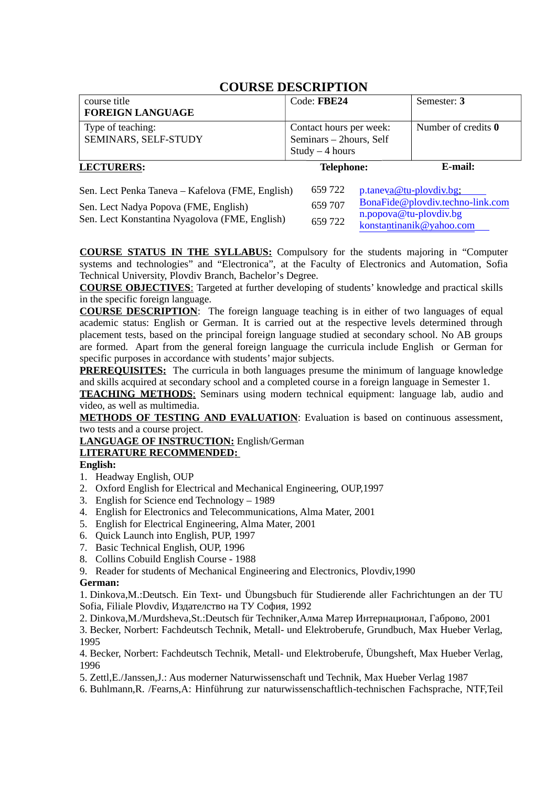| course title                                                                      | Code: FBE24             | Semester: 3                                                  |
|-----------------------------------------------------------------------------------|-------------------------|--------------------------------------------------------------|
| <b>FOREIGN LANGUAGE</b>                                                           |                         |                                                              |
| Type of teaching:                                                                 | Contact hours per week: | Number of credits 0                                          |
| SEMINARS, SELF-STUDY                                                              | Seminars - 2hours, Self |                                                              |
|                                                                                   | $Study - 4 hours$       |                                                              |
| <b>LECTURERS:</b>                                                                 | <b>Telephone:</b>       | E-mail:                                                      |
| Sen. Lect Penka Taneva – Kafelova (FME, English)                                  | 659 722                 | p.taneva@tu-plovdiv.bg;                                      |
| Sen. Lect Nadya Popova (FME, English)<br>$C = I + IZ$ $I + M = I$ $I + M = I + I$ | 659 707                 | BonaFide@plovdiv.techno-link.com<br>$n.popova@tu-plovdiv.bg$ |

**COURSE STATUS IN THE SYLLABUS:** Compulsory for the students majoring in "Computer systems and technologies" and "Electronica", at the Faculty of Electronics and Automation, Sofia Technical University, Plovdiv Branch, Bachelor's Degree.

[konstantinanik@yahoo.co](mailto:konstantinanik@yahoo.com)[m](mailto:n.popova@tu-plovdiv.bg)

**COURSE OBJECTIVES**: Targeted at further developing of students' knowledge and practical skills in the specific foreign language.

**COURSE DESCRIPTION**: The foreign language teaching is in either of two languages of equal academic status: English or German. It is carried out at the respective levels determined through placement tests, based on the principal foreign language studied at secondary school. No AB groups are formed. Apart from the general foreign language the curricula include English or German for specific purposes in accordance with students' major subjects.

**PREREQUISITES:** The curricula in both languages presume the minimum of language knowledge and skills acquired at secondary school and a completed course in a foreign language in Semester 1.

 **TEACHING METHODS**: Seminars using modern technical equipment: language lab, audio and video, as well as multimedia.

**METHODS OF TESTING AND EVALUATION:** Evaluation is based on continuous assessment, two tests and a course project.

**LANGUAGE OF INSTRUCTION:** English/German

Sen. Lect Konstantina Nyagolova (FME, English) 659 722

#### **LITERATURE RECOMMENDED:**

#### **English:**

- 1. Headway English, OUP
- 2. Oxford English for Electrical and Mechanical Engineering, OUP,1997
- 3. English for Science end Technology 1989
- 4. English for Electronics and Telecommunications, Alma Mater, 2001
- 5. English for Electrical Engineering, Alma Mater, 2001
- 6. Quick Launch into English, PUP, 1997
- 7. Basic Technical English, OUP, 1996
- 8. Collins Cobuild English Course 1988
- 9. Reader for students of Mechanical Engineering and Electronics, Plovdiv,1990

#### **German:**

1. Dinkova,M.:Deutsch. Ein Text- und Übungsbuch für Studierende aller Fachrichtungen an der TU Sofia, Filiale Plovdiv, Издателство на ТУ София, 1992

2. Dinkova,M./Murdsheva,St.:Deutsch für Techniker,Алма Матер Интернационал, Габрово, 2001

3. Becker, Norbert: Fachdeutsch Technik, Metall- und Elektroberufe, Grundbuch, Max Hueber Verlag, 1995

4. Becker, Norbert: Fachdeutsch Technik, Metall- und Elektroberufe, Übungsheft, Max Hueber Verlag, 1996

5. Zettl,E./Janssen,J.: Aus moderner Naturwissenschaft und Technik, Max Hueber Verlag 1987

6. Buhlmann,R. /Fearns,A: Hinführung zur naturwissenschaftlich-technischen Fachsprache, NTF,Teil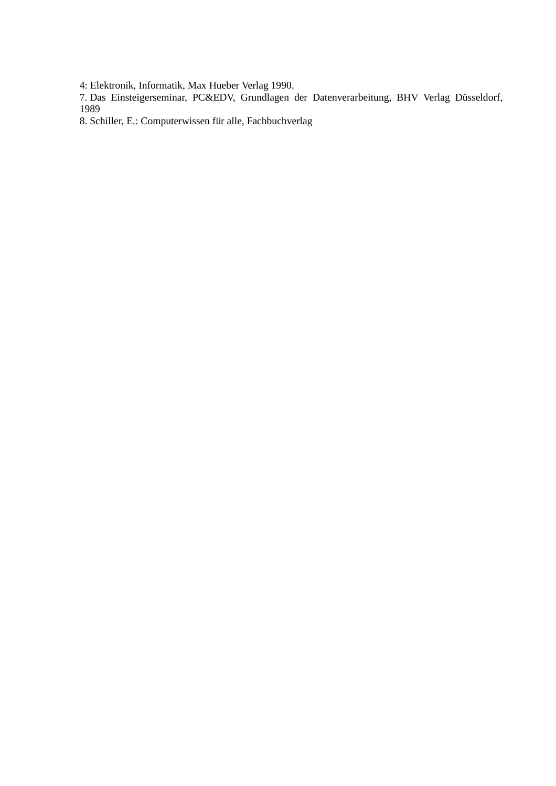4: Elektronik, Informatik, Max Hueber Verlag 1990.

7. Das Einsteigerseminar, PC&EDV, Grundlagen der Datenverarbeitung, BHV Verlag Düsseldorf, 1989

8. Schiller, E.: Computerwissen für alle, Fachbuchverlag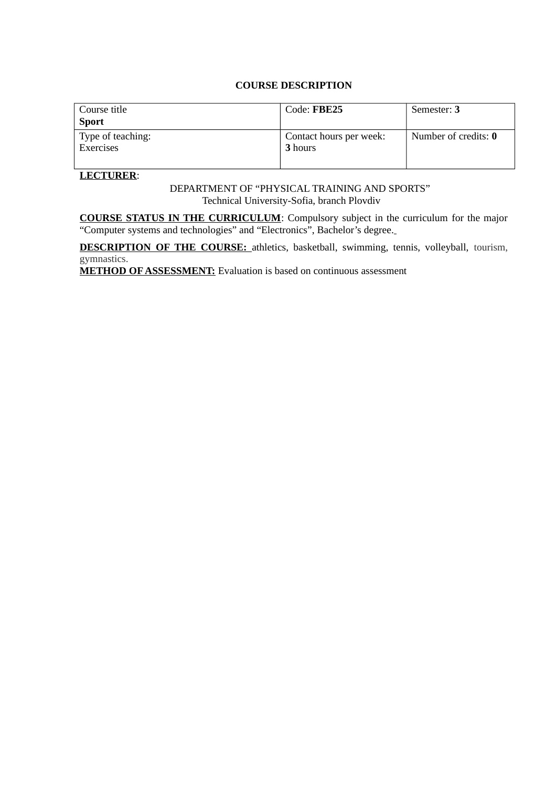| Course title<br><b>Sport</b>          | Code: FBE25                        | Semester: 3          |
|---------------------------------------|------------------------------------|----------------------|
| Type of teaching:<br><b>Exercises</b> | Contact hours per week:<br>3 hours | Number of credits: 0 |

#### **LECTURER**:

DEPARTMENT OF "PHYSICAL TRAINING AND SPORTS" Technical University-Sofia, branch Plovdiv

**COURSE STATUS IN THE CURRICULUM**: Compulsory subject in the curriculum for the major "Computer systems and technologies" and "Electronics", Bachelor's degree.

**DESCRIPTION OF THE COURSE:** athletics, basketball, swimming, tennis, volleyball, tourism, gymnastics.

**METHOD OF ASSESSMENT:** Evaluation is based on continuous assessment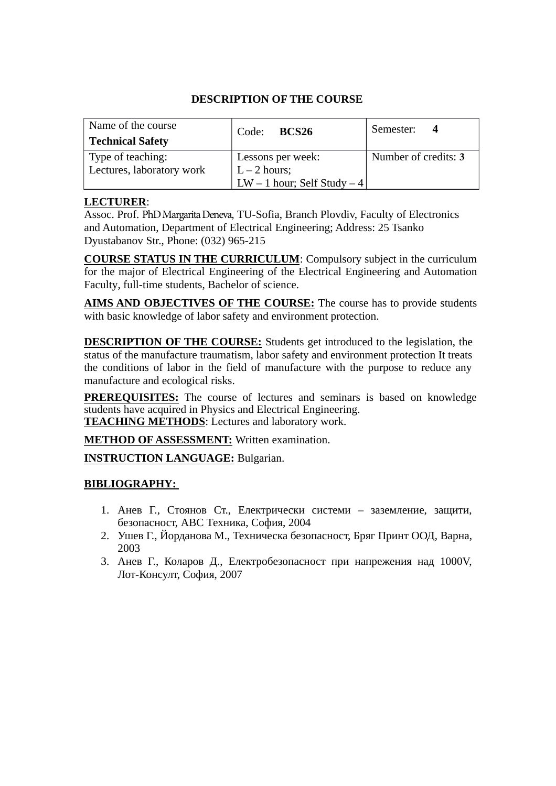| Name of the course<br><b>Technical Safety</b>  | Code: <b>BCS26</b>                                                 | Semester:<br>-4      |
|------------------------------------------------|--------------------------------------------------------------------|----------------------|
| Type of teaching:<br>Lectures, laboratory work | Lessons per week:<br>$L - 2$ hours;<br>LW – 1 hour; Self Study – 4 | Number of credits: 3 |

## **LECTURER**:

Assoc. Prof. PhD Margarita Deneva, TU-Sofia, Branch Plovdiv, Faculty of Electronics and Automation, Department of Electrical Engineering; Address: 25 Tsanko Dyustabanov Str., Phone: (032) 965-215

**COURSE STATUS IN THE CURRICULUM**: Compulsory subject in the curriculum for the major of Electrical Engineering of the Electrical Engineering and Automation Faculty, full-time students, Bachelor of science.

**AIMS AND OBJECTIVES OF THE COURSE:** The course has to provide students with basic knowledge of labor safety and environment protection.

**DESCRIPTION OF THE COURSE:** Students get introduced to the legislation, the status of the manufacture traumatism, labor safety and environment protection It treats the conditions of labor in the field of manufacture with the purpose to reduce any manufacture and ecological risks.

**PREREQUISITES:** The course of lectures and seminars is based on knowledge students have acquired in Physics and Electrical Engineering. **TEACHING METHODS**: Lectures and laboratory work.

**METHOD OF ASSESSMENT:** Written examination.

**INSTRUCTION LANGUAGE:** Bulgarian.

# **BIBLIOGRAPHY:**

- 1. Анев Г., Стоянов Ст., Електрически системи заземление, защити, безопасност, АВС Техника, София, 2004
- 2. Ушев Г., Йорданова М., Техническа безопасност, Бряг Принт ООД, Варна, 2003
- 3. Анев Г., Коларов Д., Електробезопасност при напрежения над 1000V, Лот-Консулт, София, 2007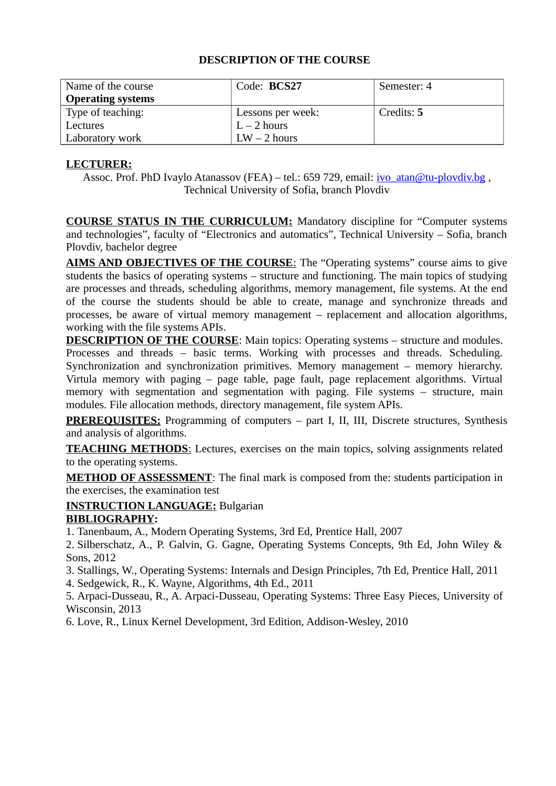| Name of the course<br><b>Operating systems</b> | Code: BCS27       | Semester: 4 |
|------------------------------------------------|-------------------|-------------|
| Type of teaching:                              | Lessons per week: | Credits: 5  |
| Lectures                                       | $L - 2$ hours     |             |
| Laboratory work                                | $LW - 2$ hours    |             |

## **LECTURER:**

Assoc. Prof. PhD Ivaylo Atanassov (FEA) – tel.: 659 729, email: *ivo* atan@tu-plovdiv.bg , Technical University of Sofia, branch Plovdiv

 **COURSE STATUS IN THE CURRICULUM:** Mandatory discipline for "Computer systems and technologies", faculty of "Electronics and automatics", Technical University – Sofia, branch Plovdiv, bachelor degree

 **AIMS AND OBJECTIVES OF THE COURSE**: The "Operating systems" course aims to give students the basics of operating systems – structure and functioning. The main topics of studying are processes and threads, scheduling algorithms, memory management, file systems. At the end of the course the students should be able to create, manage and synchronize threads and processes, be aware of virtual memory management – replacement and allocation algorithms, working with the file systems APIs.

**DESCRIPTION OF THE COURSE:** Main topics: Operating systems – structure and modules. Processes and threads – basic terms. Working with processes and threads. Scheduling. Synchronization and synchronization primitives. Memory management – memory hierarchy. Virtula memory with paging – page table, page fault, page replacement algorithms. Virtual memory with segmentation and segmentation with paging. File systems – structure, main modules. File allocation methods, directory management, file system APIs.

**PREREQUISITES:** Programming of computers – part I, II, III, Discrete structures, Synthesis and analysis of algorithms.

**TEACHING METHODS:** Lectures, exercises on the main topics, solving assignments related to the operating systems.

**METHOD OF ASSESSMENT:** The final mark is composed from the: students participation in the exercises, the examination test

 **INSTRUCTION LANGUAGE:** Bulgarian

# **BIBLIOGRAPHY:**

1. Tanenbaum, A., Modern Operating Systems, 3rd Ed, Prentice Hall, 2007

2. Silberschatz, A., P. Galvin, G. Gagne, Operating Systems Concepts, 9th Ed, John Wiley & Sons, 2012

3. Stallings, W., Operating Systems: Internals and Design Principles, 7th Ed, Prentice Hall, 2011

4. Sedgewick, R., K. Wayne, Algorithms, 4th Ed., 2011

5. Arpaci-Dusseau, R., A. Arpaci-Dusseau, Operating Systems: Three Easy Pieces, University of Wisconsin, 2013

6. Love, R., Linux Kernel Development, 3rd Edition, Addison-Wesley, 2010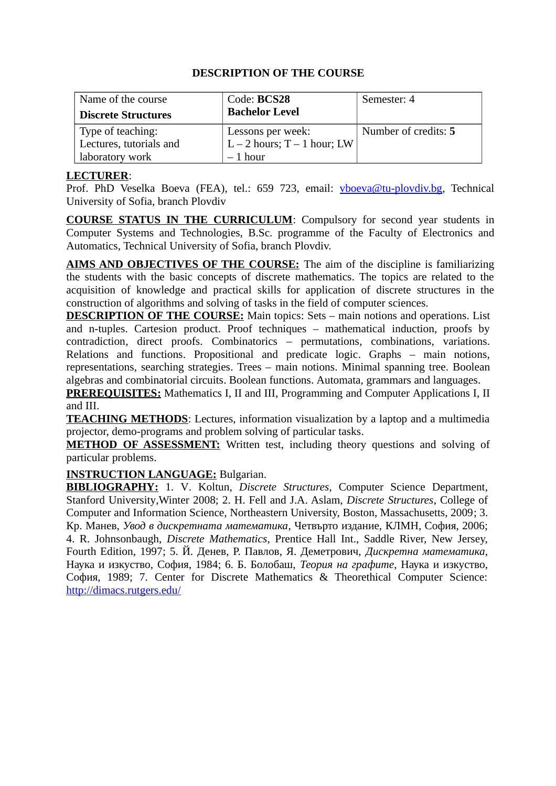| Name of the course<br><b>Discrete Structures</b> | Code: BCS28<br><b>Bachelor Level</b>     | Semester: 4          |
|--------------------------------------------------|------------------------------------------|----------------------|
| Type of teaching:                                | Lessons per week:                        | Number of credits: 5 |
| Lectures, tutorials and<br>'laboratory work      | $L-2$ hours; $T-1$ hour; LW<br>$-1$ hour |                      |

#### **LECTURER**:

Prof. PhD Veselka Boeva (FEA), tel.: 659 723, email: [vboeva@tu-plovdiv.bg,](mailto:vboeva@tu-plovdiv.bg) Technical University of Sofia, branch Plovdiv

**COURSE STATUS IN THE CURRICULUM**: Compulsory for second year students in Computer Systems and Technologies, B.Sc. programme of the Faculty of Electronics and Automatics, Technical University of Sofia, branch Plovdiv.

**AIMS AND OBJECTIVES OF THE COURSE:** The aim of the discipline is familiarizing the students with the basic concepts of discrete mathematics. The topics are related to the acquisition of knowledge and practical skills for application of discrete structures in the construction of algorithms and solving of tasks in the field of computer sciences.

 **DESCRIPTION OF THE COURSE:** Main topics: Sets – main notions and operations. List and n-tuples. Cartesion product. Proof techniques – mathematical induction, proofs by contradiction, direct proofs. Combinatorics – permutations, combinations, variations. Relations and functions. Propositional and predicate logic. Graphs – main notions, representations, searching strategies. Trees – main notions. Minimal spanning tree. Boolean algebras and combinatorial circuits. Boolean functions. Automata, grammars and languages.

 **PREREQUISITES:** Mathematics I, II and III, Programming and Computer Applications I, II and III.

**TEACHING METHODS**: Lectures, information visualization by a laptop and a multimedia projector, demo-programs and problem solving of particular tasks.

**METHOD OF ASSESSMENT:** Written test, including theory questions and solving of particular problems.

#### **INSTRUCTION LANGUAGE:** Bulgarian.

 **BIBLIOGRAPHY:** 1. V. Koltun, *Discrete Structures*, Computer Science Department, Stanford University,Winter 2008; 2. H. Fell and J.A. Aslam, *Discrete Structures*, College of Computer and Information Science, Northeastern University, Boston, Massachusetts, 2009; 3. Кр. Манев, *Увод в дискретната математика*, Четвърто издание, КЛМН, София, 2006; 4. R. Johnsonbaugh, *Discrete Mathematics*, Prentice Hall Int., Saddle River, New Jersey, Fourth Edition, 1997; 5. Й. Денев, Р. Павлов, Я. Деметрович, *Дискретна математика*, Наука и изкуство, София, 1984; 6. Б. Болобаш, *Теория на графите*, Наука и изкуство, София, 1989; 7. Center for Discrete Mathematics & Theorethical Computer Science: <http://dimacs.rutgers.edu/>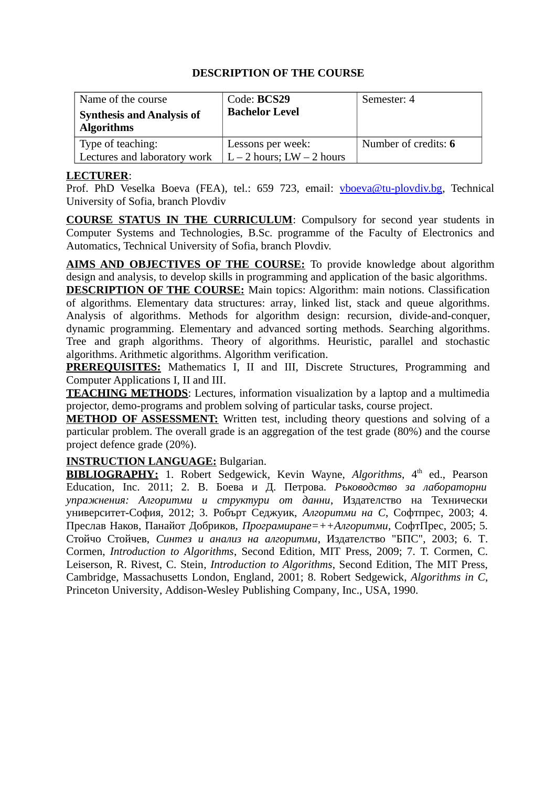| Name of the course                                    | Code: BCS29                   | Semester: 4          |
|-------------------------------------------------------|-------------------------------|----------------------|
| <b>Synthesis and Analysis of</b><br><b>Algorithms</b> | <b>Bachelor Level</b>         |                      |
| Type of teaching:                                     | Lessons per week:             | Number of credits: 6 |
| Lectures and laboratory work                          | $L - 2$ hours; $LW - 2$ hours |                      |

#### **LECTURER**:

Prof. PhD Veselka Boeva (FEA), tel.: 659 723, email: [vboeva@tu-plovdiv.bg,](mailto:vboeva@tu-plovdiv.bg) Technical University of Sofia, branch Plovdiv

**COURSE STATUS IN THE CURRICULUM**: Compulsory for second year students in Computer Systems and Technologies, B.Sc. programme of the Faculty of Electronics and Automatics, Technical University of Sofia, branch Plovdiv.

**AIMS AND OBJECTIVES OF THE COURSE:** To provide knowledge about algorithm design and analysis, to develop skills in programming and application of the basic algorithms.

**DESCRIPTION OF THE COURSE:** Main topics: Algorithm: main notions. Classification of algorithms. Elementary data structures: array, linked list, stack and queue algorithms. Analysis of algorithms. Methods for algorithm design: recursion, divide-and-conquer, dynamic programming. Elementary and advanced sorting methods. Searching algorithms. Tree and graph algorithms. Theory of algorithms. Heuristic, parallel and stochastic algorithms. Arithmetic algorithms. Algorithm verification.

**PREREQUISITES:** Mathematics I, II and III, Discrete Structures, Programming and Computer Applications I, II and III.

**TEACHING METHODS**: Lectures, information visualization by a laptop and a multimedia projector, demo-programs and problem solving of particular tasks, course project.

**METHOD OF ASSESSMENT:** Written test, including theory questions and solving of a particular problem. The overall grade is an aggregation of the test grade (80%) and the course project defence grade (20%).

## **INSTRUCTION LANGUAGE:** Bulgarian.

**BIBLIOGRAPHY:** 1. Robert Sedgewick, Kevin Wayne, *Algorithms*, 4<sup>th</sup> ed., Pearson Education, Inc. 2011; 2. В. Боева и Д. Петрова. *Ръководство за лабораторни упражнения: Алгоритми и структури от данни*, Издателство на Технически университет-София, 2012; 3. Робърт Седжуик, *Алгоритми на C*, Софтпрес, 2003; 4. Преслав Наков, Панайот Добриков, *Програмиране=++Алгоритми*, СофтПрес, 2005; 5. Стойчо Стойчев, *Синтез и анализ на алгоритми*, Издателство "БПС", 2003; 6. T. Cormen, *Introduction to Algorithms*, Second Edition, MIT Press, 2009; 7. T. Cormen, C. Leiserson, R. Rivest, C. Stein, *Introduction to Algorithms*, Second Edition, The MIT Press, Cambridge, Massachusetts London, England, 2001; 8. Robert Sedgewick, *Algorithms in C*, Princeton University, Addison-Wesley Publishing Company, Inc., USA, 1990.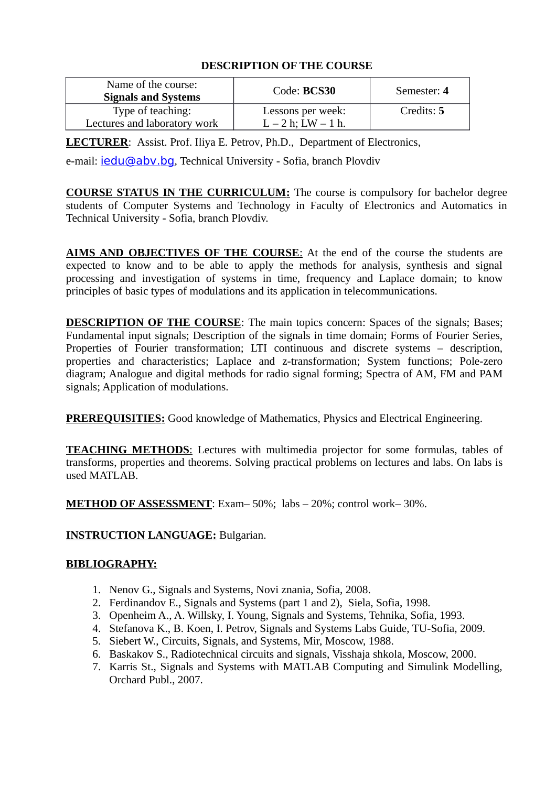| Name of the course:<br><b>Signals and Systems</b> | Code: BCS30                                   | Semester: 4 |
|---------------------------------------------------|-----------------------------------------------|-------------|
| Type of teaching:<br>Lectures and laboratory work | Lessons per week:<br>$L - 2 h$ ; LW $- 1 h$ . | Credits: 5  |

**LECTURER**: Assist. Prof. Iliya E. Petrov, Ph.D., Department of Electronics,

e-mail: **jedu@aby.bg**, Technical University - Sofia, branch Plovdiv

 **COURSE STATUS IN THE CURRICULUM:** The course is compulsory for bachelor degree students of Computer Systems and Technology in Faculty of Electronics and Automatics in Technical University - Sofia, branch Plovdiv.

 **AIMS AND OBJECTIVES OF THE COURSE**: At the end of the course the students are expected to know and to be able to apply the methods for analysis, synthesis and signal processing and investigation of systems in time, frequency and Laplace domain; to know principles of basic types of modulations and its application in telecommunications.

**DESCRIPTION OF THE COURSE:** The main topics concern: Spaces of the signals; Bases; Fundamental input signals; Description of the signals in time domain; Forms of Fourier Series, Properties of Fourier transformation; LTI continuous and discrete systems – description, properties and characteristics; Laplace and z-transformation; System functions; Pole-zero diagram; Analogue and digital methods for radio signal forming; Spectra of AM, FM and PAM signals; Application of modulations.

 **PREREQUISITIES:** Good knowledge of Mathematics, Physics and Electrical Engineering.

 **TEACHING METHODS**: Lectures with multimedia projector for some formulas, tables of transforms, properties and theorems. Solving practical problems on lectures and labs. On labs is used MATLAB.

 **METHOD OF ASSESSMENT**: Exam– 50%; labs – 20%; control work– 30%.

## **INSTRUCTION LANGUAGE:** Bulgarian.

#### **BIBLIOGRAPHY:**

- 1. Nenov G., Signals and Systems, Novi znania, Sofia, 2008.
- 2. Ferdinandov E., Signals and Systems (part 1 and 2), Siela, Sofia, 1998.
- 3. Openheim A., A. Willsky, I. Young, Signals and Systems, Tehnika, Sofia, 1993.
- 4. Stefanova K., B. Koen, I. Petrov, Signals and Systems Labs Guide, TU-Sofia, 2009.
- 5. Siebert W., Circuits, Signals, and Systems, Mir, Moscow, 1988.
- 6. Baskakov S., Radiotechnical circuits and signals, Visshaja shkola, Moscow, 2000.
- 7. Karris St., Signals and Systems with MATLAB Computing and Simulink Modelling, Orchard Publ., 2007.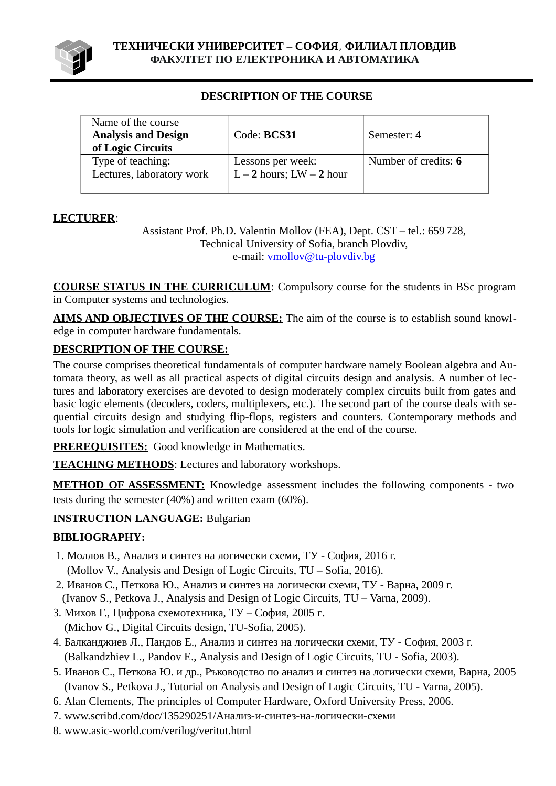

| Name of the course<br><b>Analysis and Design</b> | Code: BCS31                                   | Semester: 4          |
|--------------------------------------------------|-----------------------------------------------|----------------------|
| of Logic Circuits                                |                                               |                      |
| Type of teaching:<br>Lectures, laboratory work   | Lessons per week:<br>$L-2$ hours; $LW-2$ hour | Number of credits: 6 |

# **LECTURER**:

Assistant Prof. Ph.D. Valentin Mollov (FEA), Dept. CST – tel.: 659 728, Technical University of Sofia, branch Plovdiv, e-mail: [vmollov@tu-plovdiv.bg](mailto:vmollov@tu-plovdiv.bg)

**COURSE STATUS IN THE CURRICULUM**: Compulsory course for the students in BSc program in Computer systems and technologies.

**AIMS AND OBJECTIVES OF THE COURSE:** The aim of the course is to establish sound knowledge in computer hardware fundamentals.

# **DESCRIPTION OF THE COURSE:**

The course comprises theoretical fundamentals of computer hardware namely Boolean algebra and Automata theory, as well as all practical aspects of digital circuits design and analysis. A number of lectures and laboratory exercises are devoted to design moderately complex circuits built from gates and basic logic elements (decoders, coders, multiplexers, etc.). The second part of the course deals with sequential circuits design and studying flip-flops, registers and counters. Contemporary methods and tools for logic simulation and verification are considered at the end of the course.

**PREREQUISITES:** Good knowledge in Mathematics.

**TEACHING METHODS**: Lectures and laboratory workshops.

**METHOD OF ASSESSMENT:** Knowledge assessment includes the following components - two tests during the semester (40%) and written exam (60%).

# **INSTRUCTION LANGUAGE:** Bulgarian

# **BIBLIOGRAPHY:**

- 1. Моллов В., Анализ и синтез на логически схеми, ТУ София, 2016 г. (Mollov V., Analysis and Design of Logic Circuits, TU – Sofia, 2016).
- 2. Иванов С., Петкова Ю., Анализ и синтез на логически схеми, ТУ Варна, 2009 г. (Ivanov S., Petkova J., Analysis and Design of Logic Circuits, TU – Varna, 2009).
- 3. Михов Г., Цифрова схемотехника, ТУ София, 2005 г.
- (Michov G., Digital Circuits design, TU-Sofia, 2005).
- 4. Балканджиев Л., Пандов Е., Анализ и синтез на логически схеми, ТУ София, 2003 г. (Balkandzhiev L., Pandov E., Analysis and Design of Logic Circuits, TU - Sofia, 2003).
- 5. Иванов С., Петкова Ю. и др., Ръководство по анализ и синтез на логически схеми, Варна, 2005 (Ivanov S., Petkova J., Tutorial on Analysis and Design of Logic Circuits, TU - Varna, 2005).
- 6. Alan Clements, The principles of Computer Hardware, Oxford University Press, 2006.
- 7. www.scribd.com/doc/135290251/Aнализ-и-синтез-на-логически-схеми
- 8. www.asic-world.com/verilog/veritut.html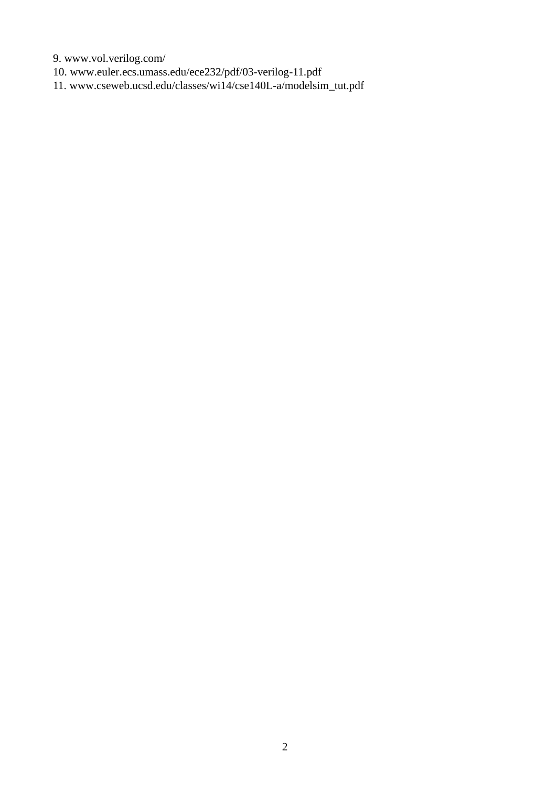9. www.vol.verilog.com/

10. www.euler.ecs.umass.edu/ece232/pdf/03-verilog-11.pdf

11. www.cseweb.ucsd.edu/classes/wi14/cse140L-a/modelsim\_tut.pdf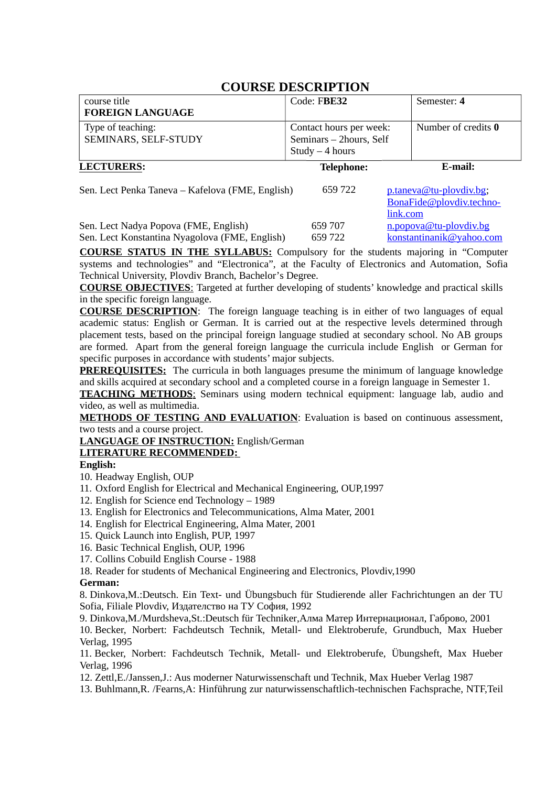| course title<br><b>FOREIGN LANGUAGE</b>          | Code: FBE32                                                             | Semester: 4                                         |
|--------------------------------------------------|-------------------------------------------------------------------------|-----------------------------------------------------|
| Type of teaching:<br>SEMINARS, SELF-STUDY        | Contact hours per week:<br>Seminars - 2hours, Self<br>$Study - 4 hours$ | Number of credits 0                                 |
| <b>LECTURERS:</b>                                | <b>Telephone:</b>                                                       | E-mail:                                             |
| Sen. Lect Penka Taneva – Kafelova (FME, English) | 659722<br>link.com                                                      | p.taneva@tu-plovdiv.bg;<br>BonaFide@plovdiv.techno- |

659 707 [n.popova@tu-plovdiv.bg](mailto:n.popova@tu-plovdiv.bg) Sen. Lect Nadya Popova (FME, English) Sen. Lect Konstantina Nyagolova (FME, English) 659 722 [konstantinanik@yahoo.com](mailto:konstantinanik@yahoo.com)

**COURSE STATUS IN THE SYLLABUS:** Compulsory for the students majoring in "Computer systems and technologies" and "Electronica", at the Faculty of Electronics and Automation, Sofia Technical University, Plovdiv Branch, Bachelor's Degree.

**COURSE OBJECTIVES**: Targeted at further developing of students' knowledge and practical skills in the specific foreign language.

**COURSE DESCRIPTION**: The foreign language teaching is in either of two languages of equal academic status: English or German. It is carried out at the respective levels determined through placement tests, based on the principal foreign language studied at secondary school. No AB groups are formed. Apart from the general foreign language the curricula include English or German for specific purposes in accordance with students' major subjects.

**PREREQUISITES:** The curricula in both languages presume the minimum of language knowledge and skills acquired at secondary school and a completed course in a foreign language in Semester 1.

 **TEACHING METHODS**: Seminars using modern technical equipment: language lab, audio and video, as well as multimedia.

**METHODS OF TESTING AND EVALUATION:** Evaluation is based on continuous assessment, two tests and a course project.

**LANGUAGE OF INSTRUCTION:** English/German

#### **LITERATURE RECOMMENDED:**

#### **English:**

- 10. Headway English, OUP
- 11. Oxford English for Electrical and Mechanical Engineering, OUP,1997
- 12. English for Science end Technology 1989
- 13. English for Electronics and Telecommunications, Alma Mater, 2001
- 14. English for Electrical Engineering, Alma Mater, 2001
- 15. Quick Launch into English, PUP, 1997
- 16. Basic Technical English, OUP, 1996
- 17. Collins Cobuild English Course 1988
- 18. Reader for students of Mechanical Engineering and Electronics, Plovdiv,1990

#### **German:**

8. Dinkova,M.:Deutsch. Ein Text- und Übungsbuch für Studierende aller Fachrichtungen an der TU Sofia, Filiale Plovdiv, Издателство на ТУ София, 1992

9. Dinkova,M./Murdsheva,St.:Deutsch für Techniker,Алма Матер Интернационал, Габрово, 2001

10. Becker, Norbert: Fachdeutsch Technik, Metall- und Elektroberufe, Grundbuch, Max Hueber Verlag, 1995

11. Becker, Norbert: Fachdeutsch Technik, Metall- und Elektroberufe, Übungsheft, Max Hueber Verlag, 1996

12. Zettl,E./Janssen,J.: Aus moderner Naturwissenschaft und Technik, Max Hueber Verlag 1987

13. Buhlmann,R. /Fearns,A: Hinführung zur naturwissenschaftlich-technischen Fachsprache, NTF,Teil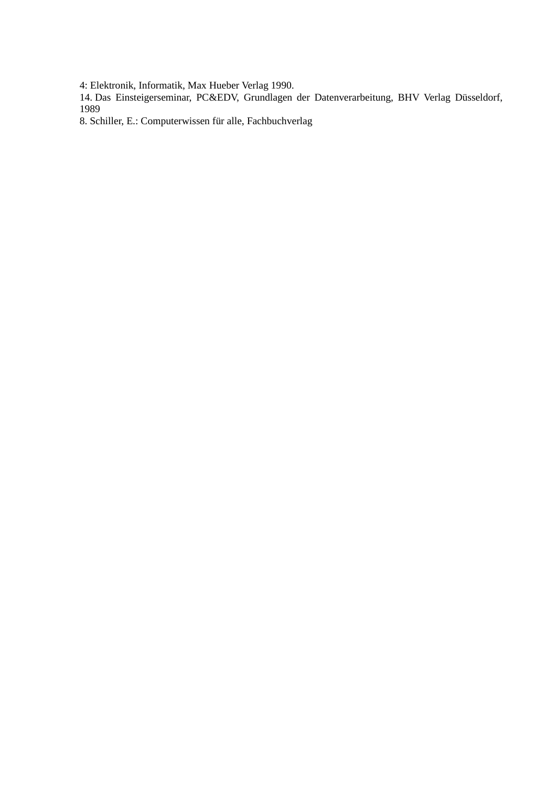4: Elektronik, Informatik, Max Hueber Verlag 1990.

14. Das Einsteigerseminar, PC&EDV, Grundlagen der Datenverarbeitung, BHV Verlag Düsseldorf, 1989

8. Schiller, E.: Computerwissen für alle, Fachbuchverlag